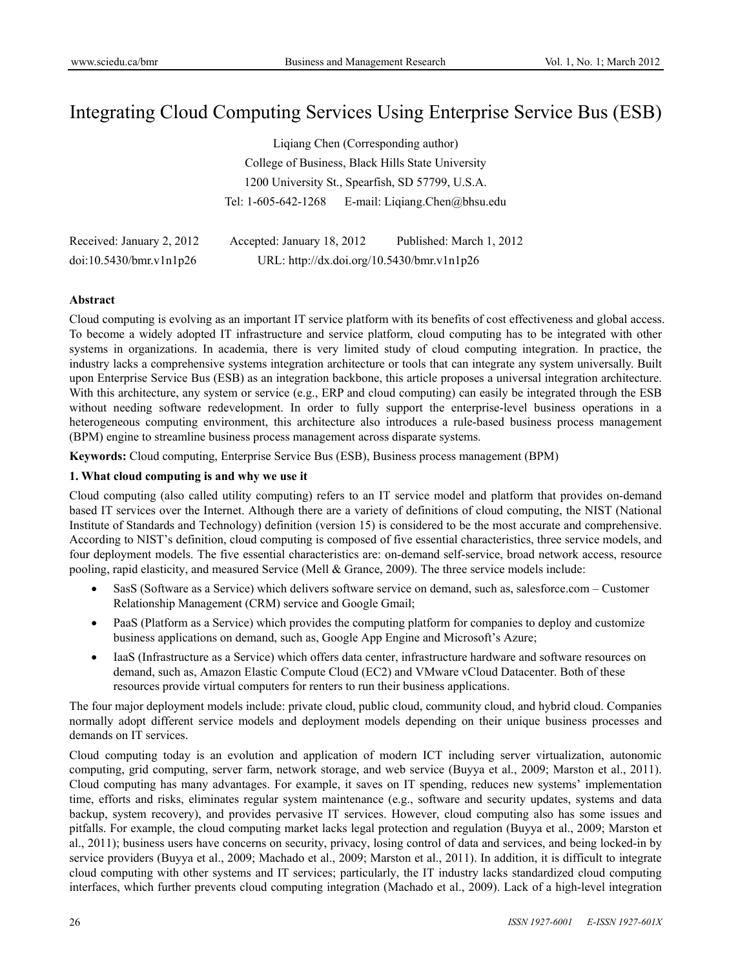# Integrating Cloud Computing Services Using Enterprise Service Bus (ESB)

Liqiang Chen (Corresponding author) College of Business, Black Hills State University 1200 University St., Spearfish, SD 57799, U.S.A. Tel: 1-605-642-1268 E-mail: Liqiang.Chen@bhsu.edu

| Received: January 2, 2012 | Accepted: January 18, 2012                 | Published: March 1, 2012 |
|---------------------------|--------------------------------------------|--------------------------|
| doi:10.5430/bmr.v1n1p26   | URL: http://dx.doi.org/10.5430/bmr.v1n1p26 |                          |

## **Abstract**

Cloud computing is evolving as an important IT service platform with its benefits of cost effectiveness and global access. To become a widely adopted IT infrastructure and service platform, cloud computing has to be integrated with other systems in organizations. In academia, there is very limited study of cloud computing integration. In practice, the industry lacks a comprehensive systems integration architecture or tools that can integrate any system universally. Built upon Enterprise Service Bus (ESB) as an integration backbone, this article proposes a universal integration architecture. With this architecture, any system or service (e.g., ERP and cloud computing) can easily be integrated through the ESB without needing software redevelopment. In order to fully support the enterprise-level business operations in a heterogeneous computing environment, this architecture also introduces a rule-based business process management (BPM) engine to streamline business process management across disparate systems.

**Keywords:** Cloud computing, Enterprise Service Bus (ESB), Business process management (BPM)

## **1. What cloud computing is and why we use it**

Cloud computing (also called utility computing) refers to an IT service model and platform that provides on-demand based IT services over the Internet. Although there are a variety of definitions of cloud computing, the NIST (National Institute of Standards and Technology) definition (version 15) is considered to be the most accurate and comprehensive. According to NIST's definition, cloud computing is composed of five essential characteristics, three service models, and four deployment models. The five essential characteristics are: on-demand self-service, broad network access, resource pooling, rapid elasticity, and measured Service (Mell & Grance, 2009). The three service models include:

- SasS (Software as a Service) which delivers software service on demand, such as, salesforce.com Customer Relationship Management (CRM) service and Google Gmail;
- PaaS (Platform as a Service) which provides the computing platform for companies to deploy and customize business applications on demand, such as, Google App Engine and Microsoft's Azure;
- IaaS (Infrastructure as a Service) which offers data center, infrastructure hardware and software resources on demand, such as, Amazon Elastic Compute Cloud (EC2) and VMware vCloud Datacenter. Both of these resources provide virtual computers for renters to run their business applications.

The four major deployment models include: private cloud, public cloud, community cloud, and hybrid cloud. Companies normally adopt different service models and deployment models depending on their unique business processes and demands on IT services.

Cloud computing today is an evolution and application of modern ICT including server virtualization, autonomic computing, grid computing, server farm, network storage, and web service (Buyya et al., 2009; Marston et al., 2011). Cloud computing has many advantages. For example, it saves on IT spending, reduces new systems' implementation time, efforts and risks, eliminates regular system maintenance (e.g., software and security updates, systems and data backup, system recovery), and provides pervasive IT services. However, cloud computing also has some issues and pitfalls. For example, the cloud computing market lacks legal protection and regulation (Buyya et al., 2009; Marston et al., 2011); business users have concerns on security, privacy, losing control of data and services, and being locked-in by service providers (Buyya et al., 2009; Machado et al., 2009; Marston et al., 2011). In addition, it is difficult to integrate cloud computing with other systems and IT services; particularly, the IT industry lacks standardized cloud computing interfaces, which further prevents cloud computing integration (Machado et al., 2009). Lack of a high-level integration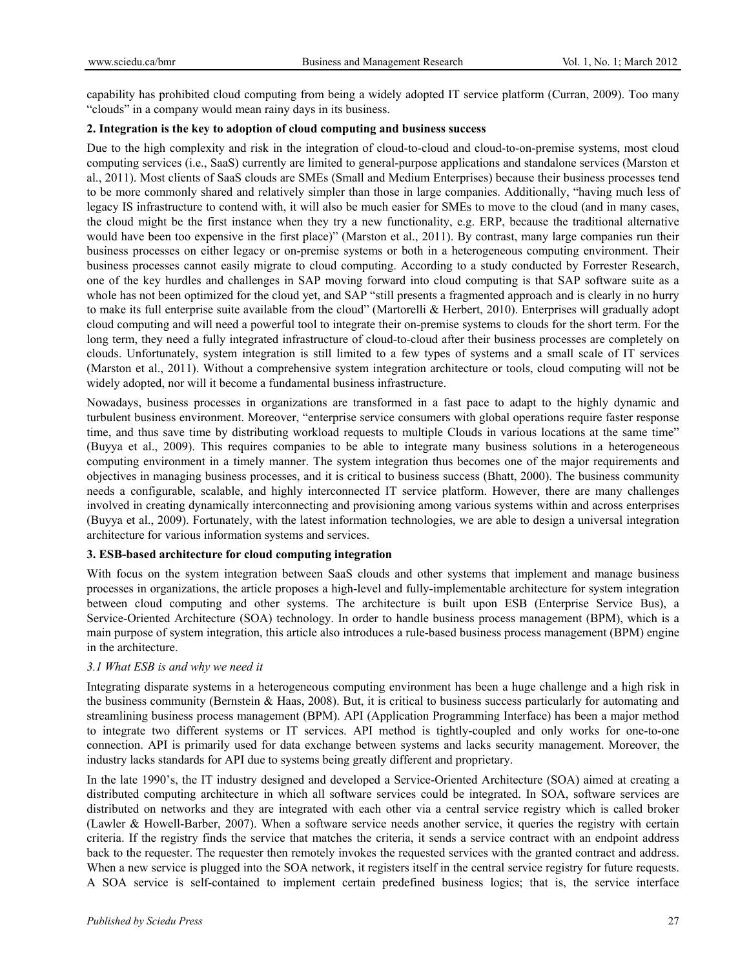capability has prohibited cloud computing from being a widely adopted IT service platform (Curran, 2009). Too many "clouds" in a company would mean rainy days in its business.

#### **2. Integration is the key to adoption of cloud computing and business success**

Due to the high complexity and risk in the integration of cloud-to-cloud and cloud-to-on-premise systems, most cloud computing services (i.e., SaaS) currently are limited to general-purpose applications and standalone services (Marston et al., 2011). Most clients of SaaS clouds are SMEs (Small and Medium Enterprises) because their business processes tend to be more commonly shared and relatively simpler than those in large companies. Additionally, "having much less of legacy IS infrastructure to contend with, it will also be much easier for SMEs to move to the cloud (and in many cases, the cloud might be the first instance when they try a new functionality, e.g. ERP, because the traditional alternative would have been too expensive in the first place)" (Marston et al., 2011). By contrast, many large companies run their business processes on either legacy or on-premise systems or both in a heterogeneous computing environment. Their business processes cannot easily migrate to cloud computing. According to a study conducted by Forrester Research, one of the key hurdles and challenges in SAP moving forward into cloud computing is that SAP software suite as a whole has not been optimized for the cloud yet, and SAP "still presents a fragmented approach and is clearly in no hurry to make its full enterprise suite available from the cloud" (Martorelli & Herbert, 2010). Enterprises will gradually adopt cloud computing and will need a powerful tool to integrate their on-premise systems to clouds for the short term. For the long term, they need a fully integrated infrastructure of cloud-to-cloud after their business processes are completely on clouds. Unfortunately, system integration is still limited to a few types of systems and a small scale of IT services (Marston et al., 2011). Without a comprehensive system integration architecture or tools, cloud computing will not be widely adopted, nor will it become a fundamental business infrastructure.

Nowadays, business processes in organizations are transformed in a fast pace to adapt to the highly dynamic and turbulent business environment. Moreover, "enterprise service consumers with global operations require faster response time, and thus save time by distributing workload requests to multiple Clouds in various locations at the same time" (Buyya et al., 2009). This requires companies to be able to integrate many business solutions in a heterogeneous computing environment in a timely manner. The system integration thus becomes one of the major requirements and objectives in managing business processes, and it is critical to business success (Bhatt, 2000). The business community needs a configurable, scalable, and highly interconnected IT service platform. However, there are many challenges involved in creating dynamically interconnecting and provisioning among various systems within and across enterprises (Buyya et al., 2009). Fortunately, with the latest information technologies, we are able to design a universal integration architecture for various information systems and services.

## **3. ESB-based architecture for cloud computing integration**

With focus on the system integration between SaaS clouds and other systems that implement and manage business processes in organizations, the article proposes a high-level and fully-implementable architecture for system integration between cloud computing and other systems. The architecture is built upon ESB (Enterprise Service Bus), a Service-Oriented Architecture (SOA) technology. In order to handle business process management (BPM), which is a main purpose of system integration, this article also introduces a rule-based business process management (BPM) engine in the architecture.

#### *3.1 What ESB is and why we need it*

Integrating disparate systems in a heterogeneous computing environment has been a huge challenge and a high risk in the business community (Bernstein & Haas, 2008). But, it is critical to business success particularly for automating and streamlining business process management (BPM). API (Application Programming Interface) has been a major method to integrate two different systems or IT services. API method is tightly-coupled and only works for one-to-one connection. API is primarily used for data exchange between systems and lacks security management. Moreover, the industry lacks standards for API due to systems being greatly different and proprietary.

In the late 1990's, the IT industry designed and developed a Service-Oriented Architecture (SOA) aimed at creating a distributed computing architecture in which all software services could be integrated. In SOA, software services are distributed on networks and they are integrated with each other via a central service registry which is called broker (Lawler & Howell-Barber, 2007). When a software service needs another service, it queries the registry with certain criteria. If the registry finds the service that matches the criteria, it sends a service contract with an endpoint address back to the requester. The requester then remotely invokes the requested services with the granted contract and address. When a new service is plugged into the SOA network, it registers itself in the central service registry for future requests. A SOA service is self-contained to implement certain predefined business logics; that is, the service interface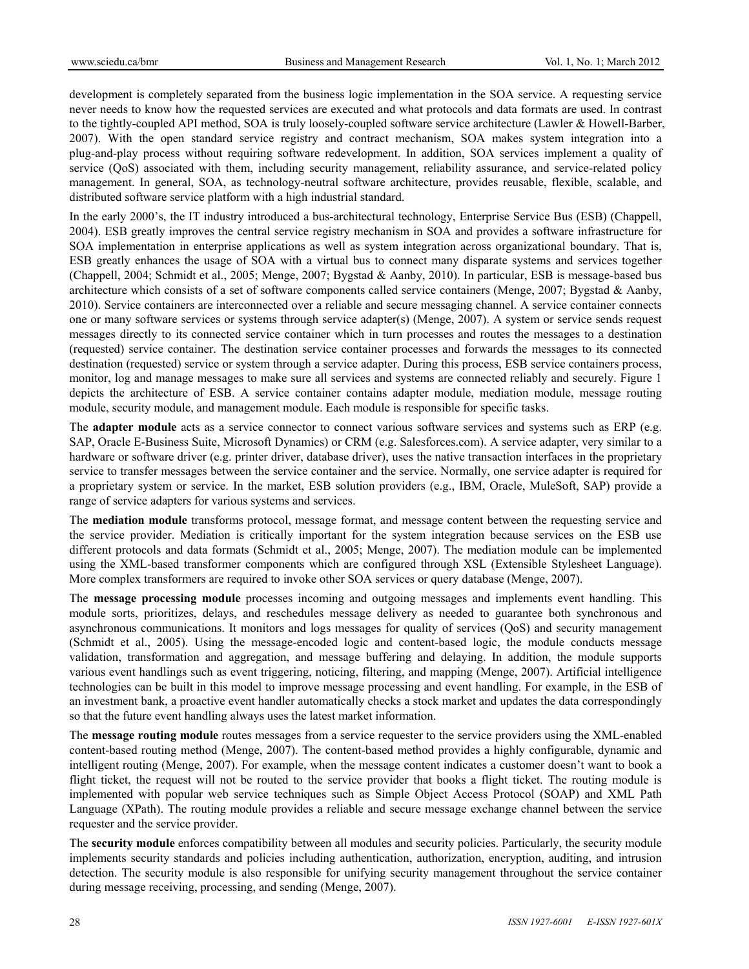development is completely separated from the business logic implementation in the SOA service. A requesting service never needs to know how the requested services are executed and what protocols and data formats are used. In contrast to the tightly-coupled API method, SOA is truly loosely-coupled software service architecture (Lawler & Howell-Barber, 2007). With the open standard service registry and contract mechanism, SOA makes system integration into a plug-and-play process without requiring software redevelopment. In addition, SOA services implement a quality of service (QoS) associated with them, including security management, reliability assurance, and service-related policy management. In general, SOA, as technology-neutral software architecture, provides reusable, flexible, scalable, and distributed software service platform with a high industrial standard.

In the early 2000's, the IT industry introduced a bus-architectural technology, Enterprise Service Bus (ESB) (Chappell, 2004). ESB greatly improves the central service registry mechanism in SOA and provides a software infrastructure for SOA implementation in enterprise applications as well as system integration across organizational boundary. That is, ESB greatly enhances the usage of SOA with a virtual bus to connect many disparate systems and services together (Chappell, 2004; Schmidt et al., 2005; Menge, 2007; Bygstad & Aanby, 2010). In particular, ESB is message-based bus architecture which consists of a set of software components called service containers (Menge, 2007; Bygstad & Aanby, 2010). Service containers are interconnected over a reliable and secure messaging channel. A service container connects one or many software services or systems through service adapter(s) (Menge, 2007). A system or service sends request messages directly to its connected service container which in turn processes and routes the messages to a destination (requested) service container. The destination service container processes and forwards the messages to its connected destination (requested) service or system through a service adapter. During this process, ESB service containers process, monitor, log and manage messages to make sure all services and systems are connected reliably and securely. Figure 1 depicts the architecture of ESB. A service container contains adapter module, mediation module, message routing module, security module, and management module. Each module is responsible for specific tasks.

The **adapter module** acts as a service connector to connect various software services and systems such as ERP (e.g. SAP, Oracle E-Business Suite, Microsoft Dynamics) or CRM (e.g. Salesforces.com). A service adapter, very similar to a hardware or software driver (e.g. printer driver, database driver), uses the native transaction interfaces in the proprietary service to transfer messages between the service container and the service. Normally, one service adapter is required for a proprietary system or service. In the market, ESB solution providers (e.g., IBM, Oracle, MuleSoft, SAP) provide a range of service adapters for various systems and services.

The **mediation module** transforms protocol, message format, and message content between the requesting service and the service provider. Mediation is critically important for the system integration because services on the ESB use different protocols and data formats (Schmidt et al., 2005; Menge, 2007). The mediation module can be implemented using the XML-based transformer components which are configured through XSL (Extensible Stylesheet Language). More complex transformers are required to invoke other SOA services or query database (Menge, 2007).

The **message processing module** processes incoming and outgoing messages and implements event handling. This module sorts, prioritizes, delays, and reschedules message delivery as needed to guarantee both synchronous and asynchronous communications. It monitors and logs messages for quality of services (QoS) and security management (Schmidt et al., 2005). Using the message-encoded logic and content-based logic, the module conducts message validation, transformation and aggregation, and message buffering and delaying. In addition, the module supports various event handlings such as event triggering, noticing, filtering, and mapping (Menge, 2007). Artificial intelligence technologies can be built in this model to improve message processing and event handling. For example, in the ESB of an investment bank, a proactive event handler automatically checks a stock market and updates the data correspondingly so that the future event handling always uses the latest market information.

The **message routing module** routes messages from a service requester to the service providers using the XML-enabled content-based routing method (Menge, 2007). The content-based method provides a highly configurable, dynamic and intelligent routing (Menge, 2007). For example, when the message content indicates a customer doesn't want to book a flight ticket, the request will not be routed to the service provider that books a flight ticket. The routing module is implemented with popular web service techniques such as Simple Object Access Protocol (SOAP) and XML Path Language (XPath). The routing module provides a reliable and secure message exchange channel between the service requester and the service provider.

The **security module** enforces compatibility between all modules and security policies. Particularly, the security module implements security standards and policies including authentication, authorization, encryption, auditing, and intrusion detection. The security module is also responsible for unifying security management throughout the service container during message receiving, processing, and sending (Menge, 2007).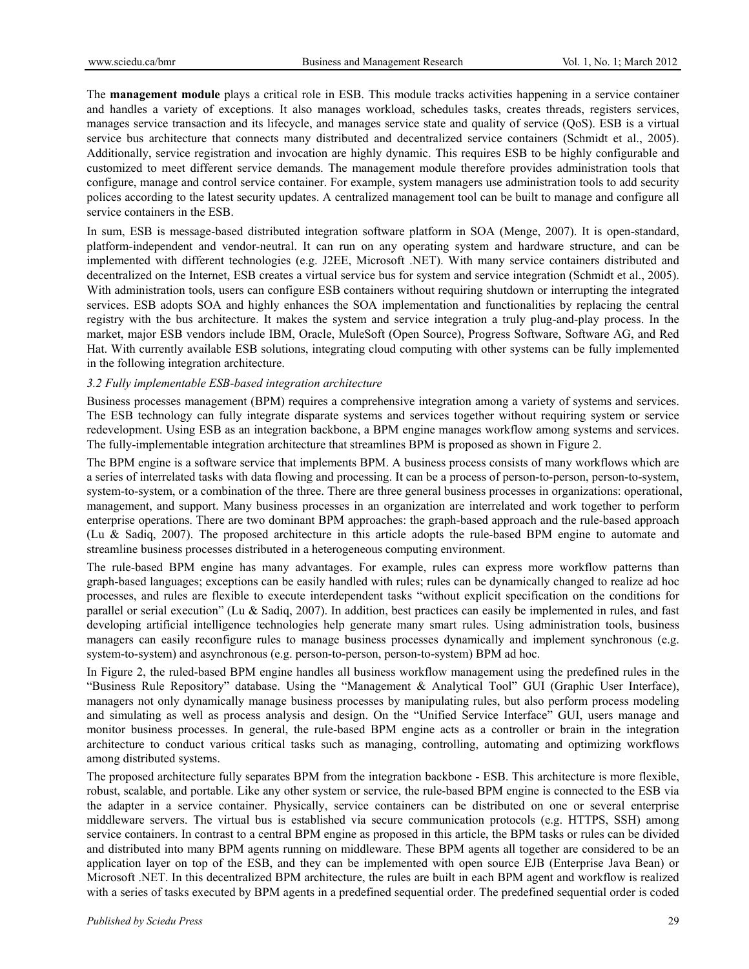The **management module** plays a critical role in ESB. This module tracks activities happening in a service container and handles a variety of exceptions. It also manages workload, schedules tasks, creates threads, registers services, manages service transaction and its lifecycle, and manages service state and quality of service (QoS). ESB is a virtual service bus architecture that connects many distributed and decentralized service containers (Schmidt et al., 2005). Additionally, service registration and invocation are highly dynamic. This requires ESB to be highly configurable and customized to meet different service demands. The management module therefore provides administration tools that configure, manage and control service container. For example, system managers use administration tools to add security polices according to the latest security updates. A centralized management tool can be built to manage and configure all service containers in the ESB.

In sum, ESB is message-based distributed integration software platform in SOA (Menge, 2007). It is open-standard, platform-independent and vendor-neutral. It can run on any operating system and hardware structure, and can be implemented with different technologies (e.g. J2EE, Microsoft .NET). With many service containers distributed and decentralized on the Internet, ESB creates a virtual service bus for system and service integration (Schmidt et al., 2005). With administration tools, users can configure ESB containers without requiring shutdown or interrupting the integrated services. ESB adopts SOA and highly enhances the SOA implementation and functionalities by replacing the central registry with the bus architecture. It makes the system and service integration a truly plug-and-play process. In the market, major ESB vendors include IBM, Oracle, MuleSoft (Open Source), Progress Software, Software AG, and Red Hat. With currently available ESB solutions, integrating cloud computing with other systems can be fully implemented in the following integration architecture.

#### *3.2 Fully implementable ESB-based integration architecture*

Business processes management (BPM) requires a comprehensive integration among a variety of systems and services. The ESB technology can fully integrate disparate systems and services together without requiring system or service redevelopment. Using ESB as an integration backbone, a BPM engine manages workflow among systems and services. The fully-implementable integration architecture that streamlines BPM is proposed as shown in Figure 2.

The BPM engine is a software service that implements BPM. A business process consists of many workflows which are a series of interrelated tasks with data flowing and processing. It can be a process of person-to-person, person-to-system, system-to-system, or a combination of the three. There are three general business processes in organizations: operational, management, and support. Many business processes in an organization are interrelated and work together to perform enterprise operations. There are two dominant BPM approaches: the graph-based approach and the rule-based approach (Lu & Sadiq, 2007). The proposed architecture in this article adopts the rule-based BPM engine to automate and streamline business processes distributed in a heterogeneous computing environment.

The rule-based BPM engine has many advantages. For example, rules can express more workflow patterns than graph-based languages; exceptions can be easily handled with rules; rules can be dynamically changed to realize ad hoc processes, and rules are flexible to execute interdependent tasks "without explicit specification on the conditions for parallel or serial execution" (Lu & Sadiq, 2007). In addition, best practices can easily be implemented in rules, and fast developing artificial intelligence technologies help generate many smart rules. Using administration tools, business managers can easily reconfigure rules to manage business processes dynamically and implement synchronous (e.g. system-to-system) and asynchronous (e.g. person-to-person, person-to-system) BPM ad hoc.

In Figure 2, the ruled-based BPM engine handles all business workflow management using the predefined rules in the "Business Rule Repository" database. Using the "Management & Analytical Tool" GUI (Graphic User Interface), managers not only dynamically manage business processes by manipulating rules, but also perform process modeling and simulating as well as process analysis and design. On the "Unified Service Interface" GUI, users manage and monitor business processes. In general, the rule-based BPM engine acts as a controller or brain in the integration architecture to conduct various critical tasks such as managing, controlling, automating and optimizing workflows among distributed systems.

The proposed architecture fully separates BPM from the integration backbone - ESB. This architecture is more flexible, robust, scalable, and portable. Like any other system or service, the rule-based BPM engine is connected to the ESB via the adapter in a service container. Physically, service containers can be distributed on one or several enterprise middleware servers. The virtual bus is established via secure communication protocols (e.g. HTTPS, SSH) among service containers. In contrast to a central BPM engine as proposed in this article, the BPM tasks or rules can be divided and distributed into many BPM agents running on middleware. These BPM agents all together are considered to be an application layer on top of the ESB, and they can be implemented with open source EJB (Enterprise Java Bean) or Microsoft .NET. In this decentralized BPM architecture, the rules are built in each BPM agent and workflow is realized with a series of tasks executed by BPM agents in a predefined sequential order. The predefined sequential order is coded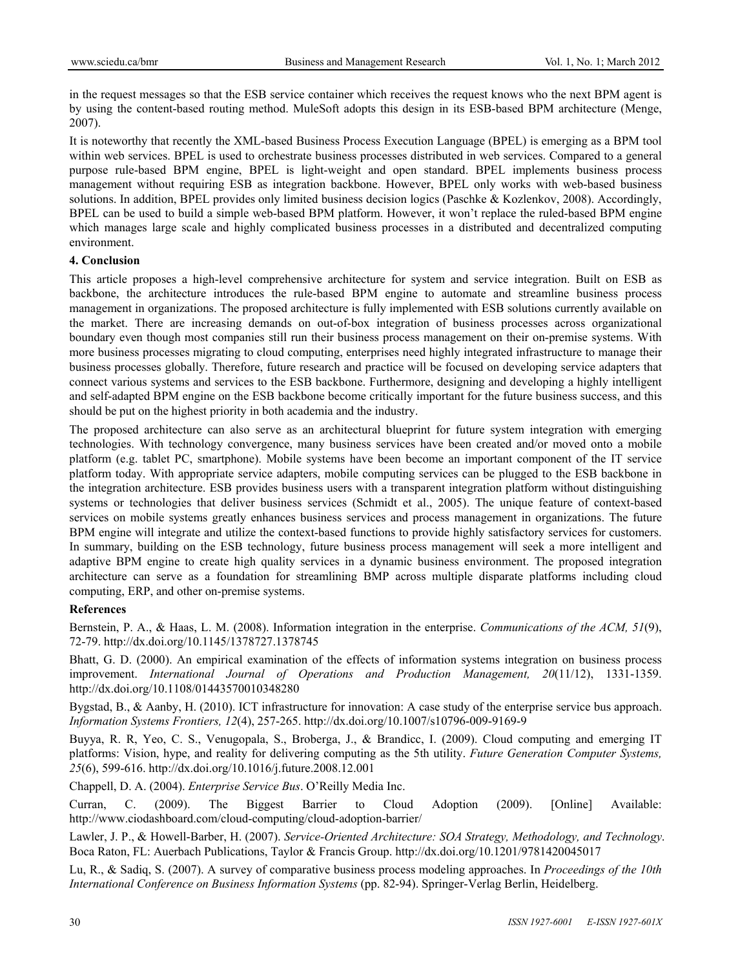in the request messages so that the ESB service container which receives the request knows who the next BPM agent is by using the content-based routing method. MuleSoft adopts this design in its ESB-based BPM architecture (Menge, 2007).

It is noteworthy that recently the XML-based Business Process Execution Language (BPEL) is emerging as a BPM tool within web services. BPEL is used to orchestrate business processes distributed in web services. Compared to a general purpose rule-based BPM engine, BPEL is light-weight and open standard. BPEL implements business process management without requiring ESB as integration backbone. However, BPEL only works with web-based business solutions. In addition, BPEL provides only limited business decision logics (Paschke & Kozlenkov, 2008). Accordingly, BPEL can be used to build a simple web-based BPM platform. However, it won't replace the ruled-based BPM engine which manages large scale and highly complicated business processes in a distributed and decentralized computing environment.

## **4. Conclusion**

This article proposes a high-level comprehensive architecture for system and service integration. Built on ESB as backbone, the architecture introduces the rule-based BPM engine to automate and streamline business process management in organizations. The proposed architecture is fully implemented with ESB solutions currently available on the market. There are increasing demands on out-of-box integration of business processes across organizational boundary even though most companies still run their business process management on their on-premise systems. With more business processes migrating to cloud computing, enterprises need highly integrated infrastructure to manage their business processes globally. Therefore, future research and practice will be focused on developing service adapters that connect various systems and services to the ESB backbone. Furthermore, designing and developing a highly intelligent and self-adapted BPM engine on the ESB backbone become critically important for the future business success, and this should be put on the highest priority in both academia and the industry.

The proposed architecture can also serve as an architectural blueprint for future system integration with emerging technologies. With technology convergence, many business services have been created and/or moved onto a mobile platform (e.g. tablet PC, smartphone). Mobile systems have been become an important component of the IT service platform today. With appropriate service adapters, mobile computing services can be plugged to the ESB backbone in the integration architecture. ESB provides business users with a transparent integration platform without distinguishing systems or technologies that deliver business services (Schmidt et al., 2005). The unique feature of context-based services on mobile systems greatly enhances business services and process management in organizations. The future BPM engine will integrate and utilize the context-based functions to provide highly satisfactory services for customers. In summary, building on the ESB technology, future business process management will seek a more intelligent and adaptive BPM engine to create high quality services in a dynamic business environment. The proposed integration architecture can serve as a foundation for streamlining BMP across multiple disparate platforms including cloud computing, ERP, and other on-premise systems.

## **References**

Bernstein, P. A., & Haas, L. M. (2008). Information integration in the enterprise. *Communications of the ACM, 51*(9), 72-79. http://dx.doi.org/10.1145/1378727.1378745

Bhatt, G. D. (2000). An empirical examination of the effects of information systems integration on business process improvement. *International Journal of Operations and Production Management, 20*(11/12), 1331-1359. http://dx.doi.org/10.1108/01443570010348280

Bygstad, B., & Aanby, H. (2010). ICT infrastructure for innovation: A case study of the enterprise service bus approach. *Information Systems Frontiers, 12*(4), 257-265. http://dx.doi.org/10.1007/s10796-009-9169-9

Buyya, R. R, Yeo, C. S., Venugopala, S., Broberga, J., & Brandicc, I. (2009). Cloud computing and emerging IT platforms: Vision, hype, and reality for delivering computing as the 5th utility. *Future Generation Computer Systems, 25*(6), 599-616. http://dx.doi.org/10.1016/j.future.2008.12.001

Chappell, D. A. (2004). *Enterprise Service Bus*. O'Reilly Media Inc.

Curran, C. (2009). The Biggest Barrier to Cloud Adoption (2009). [Online] Available: http://www.ciodashboard.com/cloud-computing/cloud-adoption-barrier/

Lawler, J. P., & Howell-Barber, H. (2007). *Service-Oriented Architecture: SOA Strategy, Methodology, and Technology*. Boca Raton, FL: Auerbach Publications, Taylor & Francis Group. http://dx.doi.org/10.1201/9781420045017

Lu, R., & Sadiq, S. (2007). A survey of comparative business process modeling approaches. In *Proceedings of the 10th International Conference on Business Information Systems* (pp. 82-94). Springer-Verlag Berlin, Heidelberg.